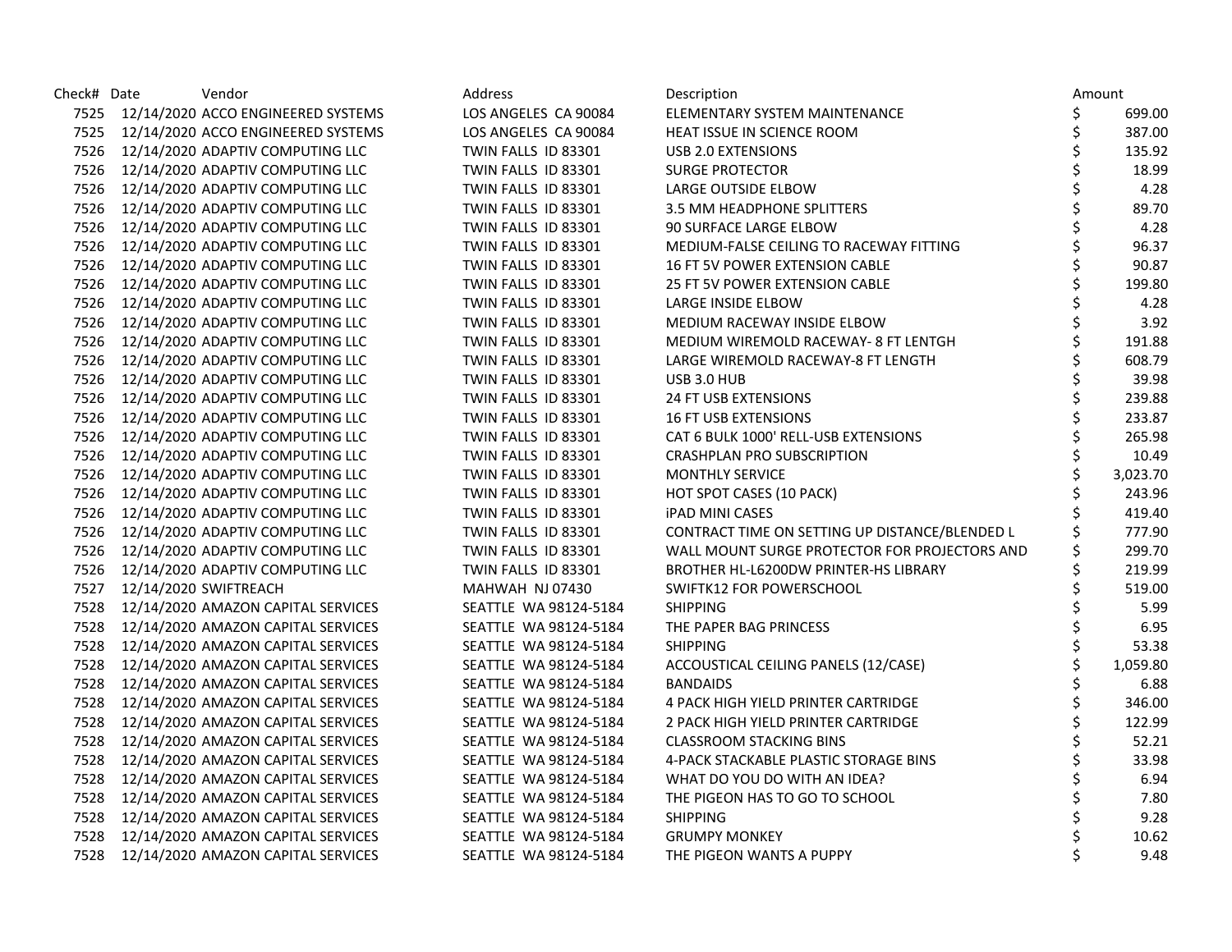| Check# Date | Vendor                                  | Address               | Description                                    |    | Amount   |
|-------------|-----------------------------------------|-----------------------|------------------------------------------------|----|----------|
|             | 7525 12/14/2020 ACCO ENGINEERED SYSTEMS | LOS ANGELES CA 90084  | ELEMENTARY SYSTEM MAINTENANCE                  | \$ | 699.00   |
|             | 7525 12/14/2020 ACCO ENGINEERED SYSTEMS | LOS ANGELES CA 90084  | HEAT ISSUE IN SCIENCE ROOM                     | Ś  | 387.00   |
|             | 7526 12/14/2020 ADAPTIV COMPUTING LLC   | TWIN FALLS ID 83301   | USB 2.0 EXTENSIONS                             |    | 135.92   |
|             | 7526 12/14/2020 ADAPTIV COMPUTING LLC   | TWIN FALLS ID 83301   | <b>SURGE PROTECTOR</b>                         |    | 18.99    |
|             | 7526 12/14/2020 ADAPTIV COMPUTING LLC   | TWIN FALLS ID 83301   | LARGE OUTSIDE ELBOW                            |    | 4.28     |
|             | 7526 12/14/2020 ADAPTIV COMPUTING LLC   | TWIN FALLS ID 83301   | 3.5 MM HEADPHONE SPLITTERS                     |    | 89.70    |
|             | 7526 12/14/2020 ADAPTIV COMPUTING LLC   | TWIN FALLS ID 83301   | 90 SURFACE LARGE ELBOW                         |    | 4.28     |
|             | 7526 12/14/2020 ADAPTIV COMPUTING LLC   | TWIN FALLS ID 83301   | MEDIUM-FALSE CEILING TO RACEWAY FITTING        |    | 96.37    |
|             | 7526 12/14/2020 ADAPTIV COMPUTING LLC   | TWIN FALLS ID 83301   | <b>16 FT 5V POWER EXTENSION CABLE</b>          |    | 90.87    |
|             | 7526 12/14/2020 ADAPTIV COMPUTING LLC   | TWIN FALLS ID 83301   | <b>25 FT 5V POWER EXTENSION CABLE</b>          |    | 199.80   |
|             | 7526 12/14/2020 ADAPTIV COMPUTING LLC   | TWIN FALLS ID 83301   | LARGE INSIDE ELBOW                             |    | 4.28     |
|             | 7526 12/14/2020 ADAPTIV COMPUTING LLC   | TWIN FALLS ID 83301   | MEDIUM RACEWAY INSIDE ELBOW                    |    | 3.92     |
|             | 7526 12/14/2020 ADAPTIV COMPUTING LLC   | TWIN FALLS ID 83301   | MEDIUM WIREMOLD RACEWAY- 8 FT LENTGH           |    | 191.88   |
|             | 7526 12/14/2020 ADAPTIV COMPUTING LLC   | TWIN FALLS ID 83301   | LARGE WIREMOLD RACEWAY-8 FT LENGTH             |    | 608.79   |
|             | 7526 12/14/2020 ADAPTIV COMPUTING LLC   | TWIN FALLS ID 83301   | USB 3.0 HUB                                    |    | 39.98    |
|             | 7526 12/14/2020 ADAPTIV COMPUTING LLC   | TWIN FALLS ID 83301   | 24 FT USB EXTENSIONS                           |    | 239.88   |
|             | 7526 12/14/2020 ADAPTIV COMPUTING LLC   | TWIN FALLS ID 83301   | <b>16 FT USB EXTENSIONS</b>                    |    | 233.87   |
|             | 7526 12/14/2020 ADAPTIV COMPUTING LLC   | TWIN FALLS ID 83301   | CAT 6 BULK 1000' RELL-USB EXTENSIONS           |    | 265.98   |
|             | 7526 12/14/2020 ADAPTIV COMPUTING LLC   | TWIN FALLS ID 83301   | <b>CRASHPLAN PRO SUBSCRIPTION</b>              |    | 10.49    |
|             | 7526 12/14/2020 ADAPTIV COMPUTING LLC   | TWIN FALLS ID 83301   | <b>MONTHLY SERVICE</b>                         |    | 3,023.70 |
|             | 7526 12/14/2020 ADAPTIV COMPUTING LLC   | TWIN FALLS ID 83301   | HOT SPOT CASES (10 PACK)                       |    | 243.96   |
|             | 7526 12/14/2020 ADAPTIV COMPUTING LLC   | TWIN FALLS ID 83301   | <b>IPAD MINI CASES</b>                         |    | 419.40   |
|             | 7526 12/14/2020 ADAPTIV COMPUTING LLC   | TWIN FALLS ID 83301   | CONTRACT TIME ON SETTING UP DISTANCE/BLENDED L |    | 777.90   |
|             | 7526 12/14/2020 ADAPTIV COMPUTING LLC   | TWIN FALLS ID 83301   | WALL MOUNT SURGE PROTECTOR FOR PROJECTORS AND  |    | 299.70   |
|             | 7526 12/14/2020 ADAPTIV COMPUTING LLC   | TWIN FALLS ID 83301   | BROTHER HL-L6200DW PRINTER-HS LIBRARY          |    | 219.99   |
|             | 7527 12/14/2020 SWIFTREACH              | MAHWAH NJ 07430       | SWIFTK12 FOR POWERSCHOOL                       |    | 519.00   |
| 7528        | 12/14/2020 AMAZON CAPITAL SERVICES      | SEATTLE WA 98124-5184 | <b>SHIPPING</b>                                |    | 5.99     |
|             | 7528 12/14/2020 AMAZON CAPITAL SERVICES | SEATTLE WA 98124-5184 | THE PAPER BAG PRINCESS                         |    | 6.95     |
|             | 7528 12/14/2020 AMAZON CAPITAL SERVICES | SEATTLE WA 98124-5184 | <b>SHIPPING</b>                                |    | 53.38    |
|             | 7528 12/14/2020 AMAZON CAPITAL SERVICES | SEATTLE WA 98124-5184 | ACCOUSTICAL CEILING PANELS (12/CASE)           |    | 1,059.80 |
|             | 7528 12/14/2020 AMAZON CAPITAL SERVICES | SEATTLE WA 98124-5184 | <b>BANDAIDS</b>                                |    | 6.88     |
|             | 7528 12/14/2020 AMAZON CAPITAL SERVICES | SEATTLE WA 98124-5184 | 4 PACK HIGH YIELD PRINTER CARTRIDGE            |    | 346.00   |
| 7528        | 12/14/2020 AMAZON CAPITAL SERVICES      | SEATTLE WA 98124-5184 | 2 PACK HIGH YIELD PRINTER CARTRIDGE            |    | 122.99   |
|             | 7528 12/14/2020 AMAZON CAPITAL SERVICES | SEATTLE WA 98124-5184 | <b>CLASSROOM STACKING BINS</b>                 |    | 52.21    |
|             | 7528 12/14/2020 AMAZON CAPITAL SERVICES | SEATTLE WA 98124-5184 | 4-PACK STACKABLE PLASTIC STORAGE BINS          |    | 33.98    |
|             | 7528 12/14/2020 AMAZON CAPITAL SERVICES | SEATTLE WA 98124-5184 | WHAT DO YOU DO WITH AN IDEA?                   |    | 6.94     |
| 7528        | 12/14/2020 AMAZON CAPITAL SERVICES      | SEATTLE WA 98124-5184 | THE PIGEON HAS TO GO TO SCHOOL                 |    | 7.80     |
| 7528        | 12/14/2020 AMAZON CAPITAL SERVICES      | SEATTLE WA 98124-5184 | <b>SHIPPING</b>                                |    | 9.28     |
| 7528        | 12/14/2020 AMAZON CAPITAL SERVICES      | SEATTLE WA 98124-5184 | <b>GRUMPY MONKEY</b>                           |    | 10.62    |
| 7528        | 12/14/2020 AMAZON CAPITAL SERVICES      | SEATTLE WA 98124-5184 | THE PIGEON WANTS A PUPPY                       |    | 9.48     |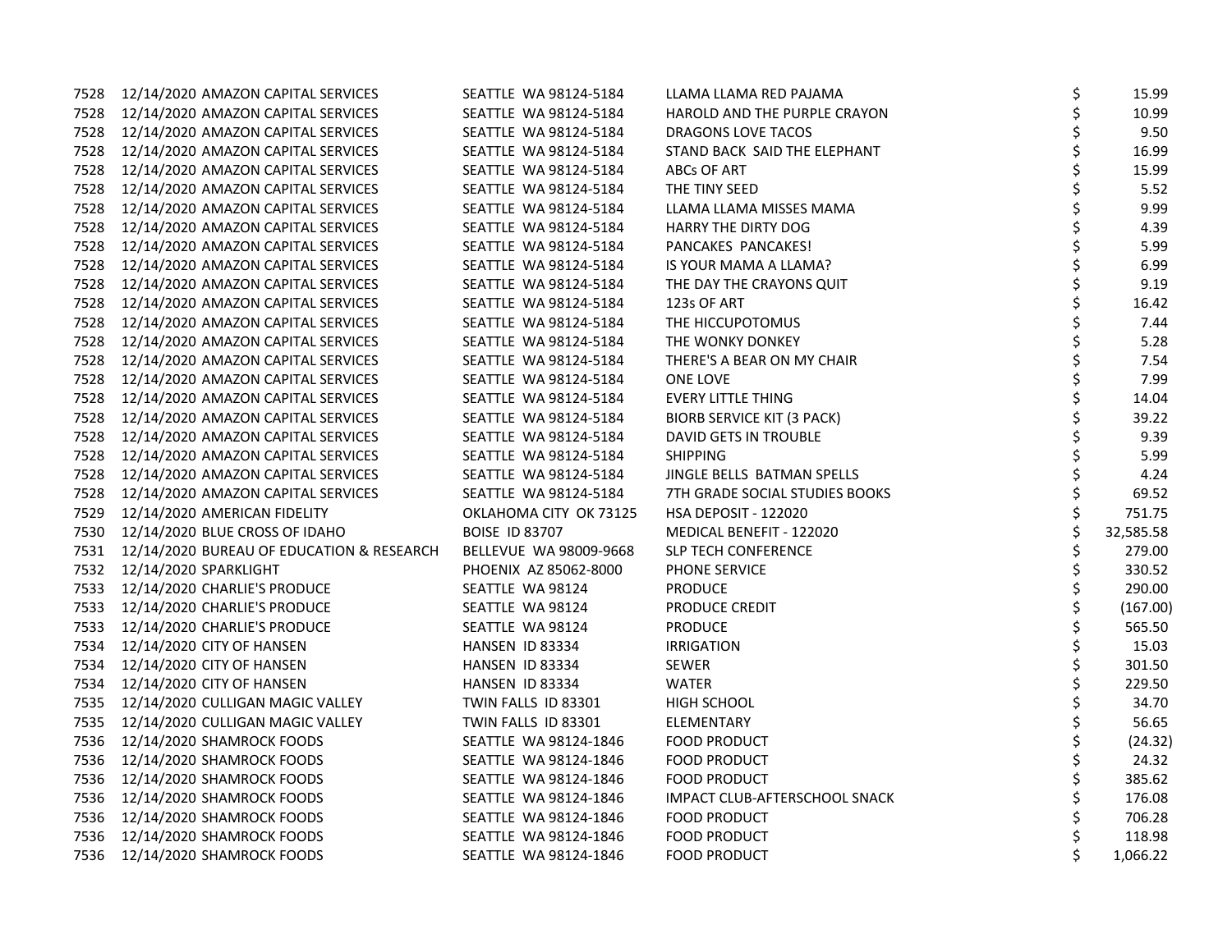| 7528 | 12/14/2020 AMAZON CAPITAL SERVICES             | SEATTLE WA 98124-5184  | LLAMA LLAMA RED PAJAMA            | \$ | 15.99     |
|------|------------------------------------------------|------------------------|-----------------------------------|----|-----------|
|      | 7528 12/14/2020 AMAZON CAPITAL SERVICES        | SEATTLE WA 98124-5184  | HAROLD AND THE PURPLE CRAYON      | \$ | 10.99     |
| 7528 | 12/14/2020 AMAZON CAPITAL SERVICES             | SEATTLE WA 98124-5184  | DRAGONS LOVE TACOS                | \$ | 9.50      |
| 7528 | 12/14/2020 AMAZON CAPITAL SERVICES             | SEATTLE WA 98124-5184  | STAND BACK SAID THE ELEPHANT      | \$ | 16.99     |
| 7528 | 12/14/2020 AMAZON CAPITAL SERVICES             | SEATTLE WA 98124-5184  | ABCs OF ART                       | Ś  | 15.99     |
| 7528 | 12/14/2020 AMAZON CAPITAL SERVICES             | SEATTLE WA 98124-5184  | THE TINY SEED                     | \$ | 5.52      |
| 7528 | 12/14/2020 AMAZON CAPITAL SERVICES             | SEATTLE WA 98124-5184  | LLAMA LLAMA MISSES MAMA           |    | 9.99      |
| 7528 | 12/14/2020 AMAZON CAPITAL SERVICES             | SEATTLE WA 98124-5184  | <b>HARRY THE DIRTY DOG</b>        |    | 4.39      |
| 7528 | 12/14/2020 AMAZON CAPITAL SERVICES             | SEATTLE WA 98124-5184  | PANCAKES PANCAKES!                |    | 5.99      |
| 7528 | 12/14/2020 AMAZON CAPITAL SERVICES             | SEATTLE WA 98124-5184  | IS YOUR MAMA A LLAMA?             |    | 6.99      |
| 7528 | 12/14/2020 AMAZON CAPITAL SERVICES             | SEATTLE WA 98124-5184  | THE DAY THE CRAYONS QUIT          | \$ | 9.19      |
| 7528 | 12/14/2020 AMAZON CAPITAL SERVICES             | SEATTLE WA 98124-5184  | 123s OF ART                       | \$ | 16.42     |
| 7528 | 12/14/2020 AMAZON CAPITAL SERVICES             | SEATTLE WA 98124-5184  | THE HICCUPOTOMUS                  |    | 7.44      |
| 7528 | 12/14/2020 AMAZON CAPITAL SERVICES             | SEATTLE WA 98124-5184  | THE WONKY DONKEY                  |    | 5.28      |
| 7528 | 12/14/2020 AMAZON CAPITAL SERVICES             | SEATTLE WA 98124-5184  | THERE'S A BEAR ON MY CHAIR        |    | 7.54      |
| 7528 | 12/14/2020 AMAZON CAPITAL SERVICES             | SEATTLE WA 98124-5184  | ONE LOVE                          |    | 7.99      |
| 7528 | 12/14/2020 AMAZON CAPITAL SERVICES             | SEATTLE WA 98124-5184  | <b>EVERY LITTLE THING</b>         | Ś  | 14.04     |
| 7528 | 12/14/2020 AMAZON CAPITAL SERVICES             | SEATTLE WA 98124-5184  | <b>BIORB SERVICE KIT (3 PACK)</b> |    | 39.22     |
| 7528 | 12/14/2020 AMAZON CAPITAL SERVICES             | SEATTLE WA 98124-5184  | DAVID GETS IN TROUBLE             |    | 9.39      |
| 7528 | 12/14/2020 AMAZON CAPITAL SERVICES             | SEATTLE WA 98124-5184  | <b>SHIPPING</b>                   |    | 5.99      |
| 7528 | 12/14/2020 AMAZON CAPITAL SERVICES             | SEATTLE WA 98124-5184  | JINGLE BELLS BATMAN SPELLS        |    | 4.24      |
| 7528 | 12/14/2020 AMAZON CAPITAL SERVICES             | SEATTLE WA 98124-5184  | 7TH GRADE SOCIAL STUDIES BOOKS    | Ś  | 69.52     |
| 7529 | 12/14/2020 AMERICAN FIDELITY                   | OKLAHOMA CITY OK 73125 | <b>HSA DEPOSIT - 122020</b>       | \$ | 751.75    |
|      | 7530 12/14/2020 BLUE CROSS OF IDAHO            | <b>BOISE ID 83707</b>  | MEDICAL BENEFIT - 122020          | \$ | 32,585.58 |
|      | 7531 12/14/2020 BUREAU OF EDUCATION & RESEARCH | BELLEVUE WA 98009-9668 | <b>SLP TECH CONFERENCE</b>        |    | 279.00    |
| 7532 | 12/14/2020 SPARKLIGHT                          | PHOENIX AZ 85062-8000  | PHONE SERVICE                     | \$ | 330.52    |
| 7533 | 12/14/2020 CHARLIE'S PRODUCE                   | SEATTLE WA 98124       | <b>PRODUCE</b>                    |    | 290.00    |
| 7533 | 12/14/2020 CHARLIE'S PRODUCE                   | SEATTLE WA 98124       | PRODUCE CREDIT                    | Ś  | (167.00)  |
| 7533 | 12/14/2020 CHARLIE'S PRODUCE                   | SEATTLE WA 98124       | <b>PRODUCE</b>                    | \$ | 565.50    |
| 7534 | 12/14/2020 CITY OF HANSEN                      | HANSEN ID 83334        | <b>IRRIGATION</b>                 |    | 15.03     |
| 7534 | 12/14/2020 CITY OF HANSEN                      | HANSEN ID 83334        | <b>SEWER</b>                      |    | 301.50    |
| 7534 | 12/14/2020 CITY OF HANSEN                      | HANSEN ID 83334        | <b>WATER</b>                      |    | 229.50    |
| 7535 | 12/14/2020 CULLIGAN MAGIC VALLEY               | TWIN FALLS ID 83301    | HIGH SCHOOL                       |    | 34.70     |
| 7535 | 12/14/2020 CULLIGAN MAGIC VALLEY               | TWIN FALLS ID 83301    | ELEMENTARY                        | Ś  | 56.65     |
| 7536 | 12/14/2020 SHAMROCK FOODS                      | SEATTLE WA 98124-1846  | <b>FOOD PRODUCT</b>               | \$ | (24.32)   |
|      | 7536 12/14/2020 SHAMROCK FOODS                 | SEATTLE WA 98124-1846  | <b>FOOD PRODUCT</b>               |    | 24.32     |
| 7536 | 12/14/2020 SHAMROCK FOODS                      | SEATTLE WA 98124-1846  | <b>FOOD PRODUCT</b>               |    | 385.62    |
| 7536 | 12/14/2020 SHAMROCK FOODS                      | SEATTLE WA 98124-1846  | IMPACT CLUB-AFTERSCHOOL SNACK     | \$ | 176.08    |
| 7536 | 12/14/2020 SHAMROCK FOODS                      | SEATTLE WA 98124-1846  | <b>FOOD PRODUCT</b>               |    | 706.28    |
| 7536 | 12/14/2020 SHAMROCK FOODS                      | SEATTLE WA 98124-1846  | <b>FOOD PRODUCT</b>               | Ś  | 118.98    |
|      | 7536 12/14/2020 SHAMROCK FOODS                 | SEATTLE WA 98124-1846  | <b>FOOD PRODUCT</b>               | \$ | 1,066.22  |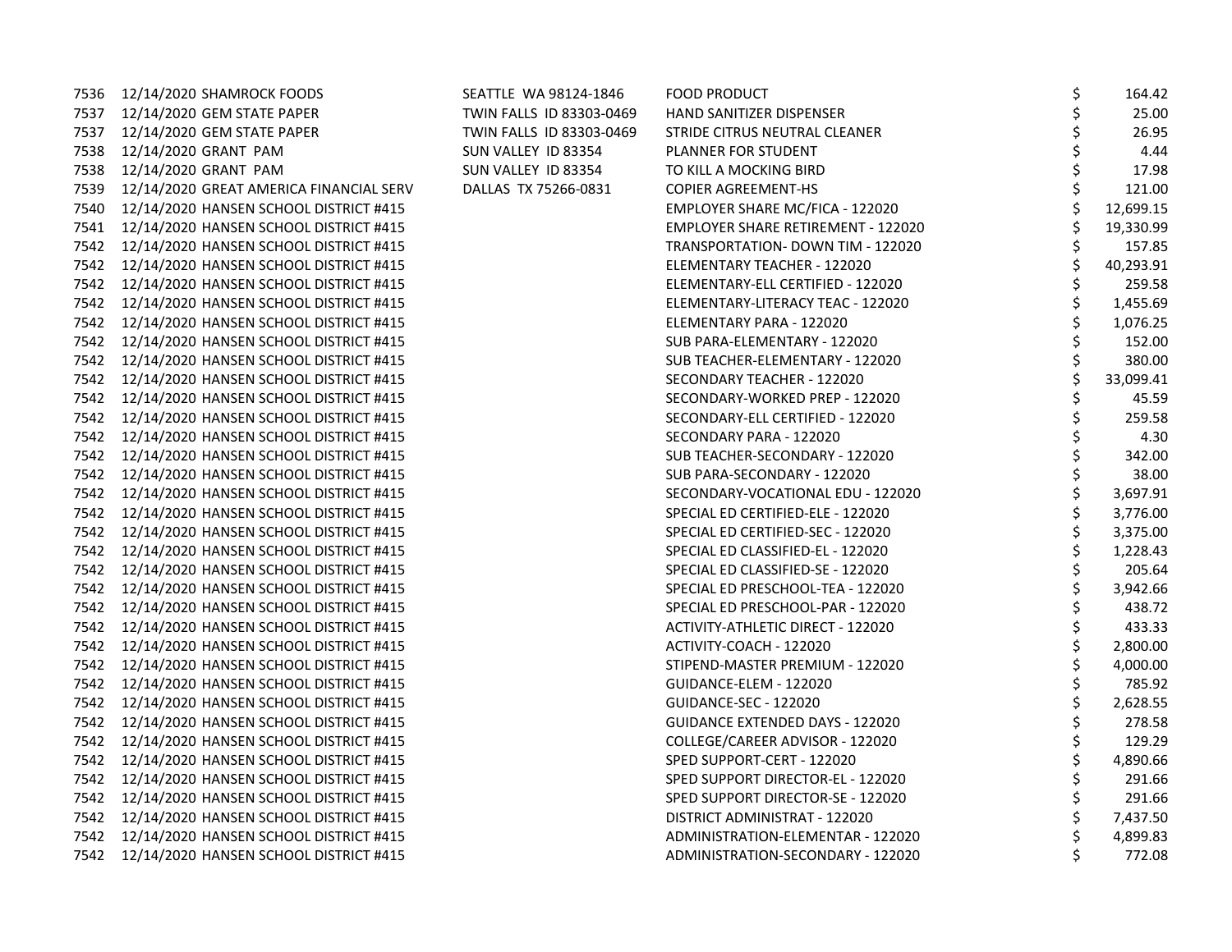|      | 7536 12/14/2020 SHAMROCK FOODS              | SEATTLE WA 98124-1846    | FOOD PRODUCT                           | \$ | 164.42    |
|------|---------------------------------------------|--------------------------|----------------------------------------|----|-----------|
| 7537 | 12/14/2020 GEM STATE PAPER                  | TWIN FALLS ID 83303-0469 | HAND SANITIZER DISPENSER               | \$ | 25.00     |
| 7537 | 12/14/2020 GEM STATE PAPER                  | TWIN FALLS ID 83303-0469 | STRIDE CITRUS NEUTRAL CLEANER          |    | 26.95     |
| 7538 | 12/14/2020 GRANT PAM                        | SUN VALLEY ID 83354      | PLANNER FOR STUDENT                    |    | 4.44      |
| 7538 | 12/14/2020 GRANT PAM                        | SUN VALLEY ID 83354      | TO KILL A MOCKING BIRD                 | Ś  | 17.98     |
| 7539 | 12/14/2020 GREAT AMERICA FINANCIAL SERV     | DALLAS TX 75266-0831     | <b>COPIER AGREEMENT-HS</b>             |    | 121.00    |
| 7540 | 12/14/2020 HANSEN SCHOOL DISTRICT #415      |                          | EMPLOYER SHARE MC/FICA - 122020        | \$ | 12,699.15 |
| 7541 | 12/14/2020 HANSEN SCHOOL DISTRICT #415      |                          | EMPLOYER SHARE RETIREMENT - 122020     |    | 19,330.99 |
| 7542 | 12/14/2020 HANSEN SCHOOL DISTRICT #415      |                          | TRANSPORTATION- DOWN TIM - 122020      |    | 157.85    |
| 7542 | 12/14/2020 HANSEN SCHOOL DISTRICT #415      |                          | ELEMENTARY TEACHER - 122020            | \$ | 40,293.91 |
|      | 7542 12/14/2020 HANSEN SCHOOL DISTRICT #415 |                          | ELEMENTARY-ELL CERTIFIED - 122020      | \$ | 259.58    |
|      | 7542 12/14/2020 HANSEN SCHOOL DISTRICT #415 |                          | ELEMENTARY-LITERACY TEAC - 122020      |    | 1,455.69  |
|      | 7542 12/14/2020 HANSEN SCHOOL DISTRICT #415 |                          | ELEMENTARY PARA - 122020               |    | 1,076.25  |
|      | 7542 12/14/2020 HANSEN SCHOOL DISTRICT #415 |                          | SUB PARA-ELEMENTARY - 122020           |    | 152.00    |
|      | 7542 12/14/2020 HANSEN SCHOOL DISTRICT #415 |                          | SUB TEACHER-ELEMENTARY - 122020        |    | 380.00    |
| 7542 | 12/14/2020 HANSEN SCHOOL DISTRICT #415      |                          | SECONDARY TEACHER - 122020             | \$ | 33,099.41 |
|      | 7542 12/14/2020 HANSEN SCHOOL DISTRICT #415 |                          | SECONDARY-WORKED PREP - 122020         | \$ | 45.59     |
|      | 7542 12/14/2020 HANSEN SCHOOL DISTRICT #415 |                          | SECONDARY-ELL CERTIFIED - 122020       |    | 259.58    |
|      | 7542 12/14/2020 HANSEN SCHOOL DISTRICT #415 |                          | SECONDARY PARA - 122020                |    | 4.30      |
| 7542 | 12/14/2020 HANSEN SCHOOL DISTRICT #415      |                          | SUB TEACHER-SECONDARY - 122020         |    | 342.00    |
| 7542 | 12/14/2020 HANSEN SCHOOL DISTRICT #415      |                          | SUB PARA-SECONDARY - 122020            |    | 38.00     |
| 7542 | 12/14/2020 HANSEN SCHOOL DISTRICT #415      |                          | SECONDARY-VOCATIONAL EDU - 122020      | \$ | 3,697.91  |
|      | 7542 12/14/2020 HANSEN SCHOOL DISTRICT #415 |                          | SPECIAL ED CERTIFIED-ELE - 122020      | \$ | 3,776.00  |
|      | 7542 12/14/2020 HANSEN SCHOOL DISTRICT #415 |                          | SPECIAL ED CERTIFIED-SEC - 122020      |    | 3,375.00  |
|      | 7542 12/14/2020 HANSEN SCHOOL DISTRICT #415 |                          | SPECIAL ED CLASSIFIED-EL - 122020      | \$ | 1,228.43  |
| 7542 | 12/14/2020 HANSEN SCHOOL DISTRICT #415      |                          | SPECIAL ED CLASSIFIED-SE - 122020      | Ś  | 205.64    |
| 7542 | 12/14/2020 HANSEN SCHOOL DISTRICT #415      |                          | SPECIAL ED PRESCHOOL-TEA - 122020      | \$ | 3,942.66  |
| 7542 | 12/14/2020 HANSEN SCHOOL DISTRICT #415      |                          | SPECIAL ED PRESCHOOL-PAR - 122020      | \$ | 438.72    |
|      | 7542 12/14/2020 HANSEN SCHOOL DISTRICT #415 |                          | ACTIVITY-ATHLETIC DIRECT - 122020      | \$ | 433.33    |
|      | 7542 12/14/2020 HANSEN SCHOOL DISTRICT #415 |                          | ACTIVITY-COACH - 122020                |    | 2,800.00  |
|      | 7542 12/14/2020 HANSEN SCHOOL DISTRICT #415 |                          | STIPEND-MASTER PREMIUM - 122020        |    | 4,000.00  |
|      | 7542 12/14/2020 HANSEN SCHOOL DISTRICT #415 |                          | GUIDANCE-ELEM - 122020                 | \$ | 785.92    |
| 7542 | 12/14/2020 HANSEN SCHOOL DISTRICT #415      |                          | GUIDANCE-SEC - 122020                  | \$ | 2,628.55  |
| 7542 | 12/14/2020 HANSEN SCHOOL DISTRICT #415      |                          | <b>GUIDANCE EXTENDED DAYS - 122020</b> | Ś  | 278.58    |
|      | 7542 12/14/2020 HANSEN SCHOOL DISTRICT #415 |                          | COLLEGE/CAREER ADVISOR - 122020        | \$ | 129.29    |
|      | 7542 12/14/2020 HANSEN SCHOOL DISTRICT #415 |                          | SPED SUPPORT-CERT - 122020             |    | 4,890.66  |
|      | 7542 12/14/2020 HANSEN SCHOOL DISTRICT #415 |                          | SPED SUPPORT DIRECTOR-EL - 122020      |    | 291.66    |
|      | 7542 12/14/2020 HANSEN SCHOOL DISTRICT #415 |                          | SPED SUPPORT DIRECTOR-SE - 122020      | \$ | 291.66    |
| 7542 | 12/14/2020 HANSEN SCHOOL DISTRICT #415      |                          | DISTRICT ADMINISTRAT - 122020          | \$ | 7,437.50  |
| 7542 | 12/14/2020 HANSEN SCHOOL DISTRICT #415      |                          | ADMINISTRATION-ELEMENTAR - 122020      | Ś  | 4,899.83  |
| 7542 | 12/14/2020 HANSEN SCHOOL DISTRICT #415      |                          | ADMINISTRATION-SECONDARY - 122020      | Ś  | 772.08    |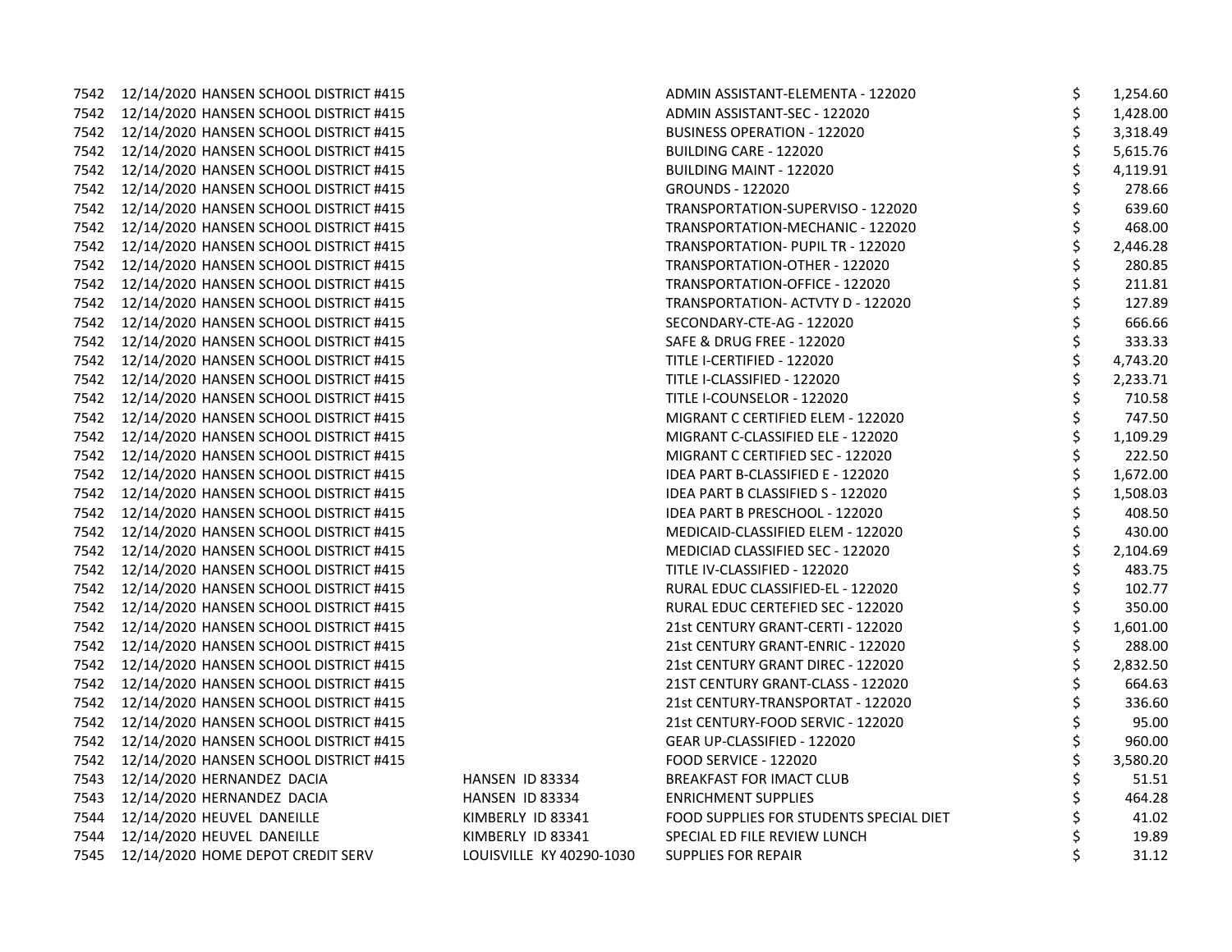|      | 7542 12/14/2020 HANSEN SCHOOL DISTRICT #415 |                          | ADMIN ASSISTANT-ELEMENTA - 122020       | \$ | 1,254.60 |
|------|---------------------------------------------|--------------------------|-----------------------------------------|----|----------|
|      | 7542 12/14/2020 HANSEN SCHOOL DISTRICT #415 |                          | ADMIN ASSISTANT-SEC - 122020            | \$ | 1,428.00 |
|      | 7542 12/14/2020 HANSEN SCHOOL DISTRICT #415 |                          | <b>BUSINESS OPERATION - 122020</b>      |    | 3,318.49 |
|      | 7542 12/14/2020 HANSEN SCHOOL DISTRICT #415 |                          | BUILDING CARE - 122020                  |    | 5,615.76 |
|      | 7542 12/14/2020 HANSEN SCHOOL DISTRICT #415 |                          | <b>BUILDING MAINT - 122020</b>          | \$ | 4,119.91 |
|      | 7542 12/14/2020 HANSEN SCHOOL DISTRICT #415 |                          | <b>GROUNDS - 122020</b>                 |    | 278.66   |
|      | 7542 12/14/2020 HANSEN SCHOOL DISTRICT #415 |                          | TRANSPORTATION-SUPERVISO - 122020       |    | 639.60   |
|      | 7542 12/14/2020 HANSEN SCHOOL DISTRICT #415 |                          | TRANSPORTATION-MECHANIC - 122020        |    | 468.00   |
|      | 7542 12/14/2020 HANSEN SCHOOL DISTRICT #415 |                          | TRANSPORTATION- PUPIL TR - 122020       |    | 2,446.28 |
|      | 7542 12/14/2020 HANSEN SCHOOL DISTRICT #415 |                          | TRANSPORTATION-OTHER - 122020           |    | 280.85   |
|      | 7542 12/14/2020 HANSEN SCHOOL DISTRICT #415 |                          | TRANSPORTATION-OFFICE - 122020          | \$ | 211.81   |
|      | 7542 12/14/2020 HANSEN SCHOOL DISTRICT #415 |                          | TRANSPORTATION- ACTVTY D - 122020       | \$ | 127.89   |
|      | 7542 12/14/2020 HANSEN SCHOOL DISTRICT #415 |                          | SECONDARY-CTE-AG - 122020               |    | 666.66   |
|      | 7542 12/14/2020 HANSEN SCHOOL DISTRICT #415 |                          | SAFE & DRUG FREE - 122020               |    | 333.33   |
|      | 7542 12/14/2020 HANSEN SCHOOL DISTRICT #415 |                          | TITLE I-CERTIFIED - 122020              | \$ | 4,743.20 |
|      | 7542 12/14/2020 HANSEN SCHOOL DISTRICT #415 |                          | TITLE I-CLASSIFIED - 122020             | \$ | 2,233.71 |
|      | 7542 12/14/2020 HANSEN SCHOOL DISTRICT #415 |                          | TITLE I-COUNSELOR - 122020              | Ś  | 710.58   |
|      | 7542 12/14/2020 HANSEN SCHOOL DISTRICT #415 |                          | MIGRANT C CERTIFIED ELEM - 122020       | \$ | 747.50   |
|      | 7542 12/14/2020 HANSEN SCHOOL DISTRICT #415 |                          | MIGRANT C-CLASSIFIED ELE - 122020       |    | 1,109.29 |
|      | 7542 12/14/2020 HANSEN SCHOOL DISTRICT #415 |                          | MIGRANT C CERTIFIED SEC - 122020        |    | 222.50   |
|      | 7542 12/14/2020 HANSEN SCHOOL DISTRICT #415 |                          | IDEA PART B-CLASSIFIED E - 122020       | \$ | 1,672.00 |
|      | 7542 12/14/2020 HANSEN SCHOOL DISTRICT #415 |                          | IDEA PART B CLASSIFIED S - 122020       | \$ | 1,508.03 |
|      | 7542 12/14/2020 HANSEN SCHOOL DISTRICT #415 |                          | IDEA PART B PRESCHOOL - 122020          | \$ | 408.50   |
|      | 7542 12/14/2020 HANSEN SCHOOL DISTRICT #415 |                          | MEDICAID-CLASSIFIED ELEM - 122020       | \$ | 430.00   |
|      | 7542 12/14/2020 HANSEN SCHOOL DISTRICT #415 |                          | MEDICIAD CLASSIFIED SEC - 122020        |    | 2,104.69 |
|      | 7542 12/14/2020 HANSEN SCHOOL DISTRICT #415 |                          | TITLE IV-CLASSIFIED - 122020            |    | 483.75   |
|      | 7542 12/14/2020 HANSEN SCHOOL DISTRICT #415 |                          | RURAL EDUC CLASSIFIED-EL - 122020       |    | 102.77   |
|      | 7542 12/14/2020 HANSEN SCHOOL DISTRICT #415 |                          | RURAL EDUC CERTEFIED SEC - 122020       | \$ | 350.00   |
|      | 7542 12/14/2020 HANSEN SCHOOL DISTRICT #415 |                          | 21st CENTURY GRANT-CERTI - 122020       | \$ | 1,601.00 |
|      | 7542 12/14/2020 HANSEN SCHOOL DISTRICT #415 |                          | 21st CENTURY GRANT-ENRIC - 122020       | \$ | 288.00   |
|      | 7542 12/14/2020 HANSEN SCHOOL DISTRICT #415 |                          | 21st CENTURY GRANT DIREC - 122020       | \$ | 2,832.50 |
|      | 7542 12/14/2020 HANSEN SCHOOL DISTRICT #415 |                          | 21ST CENTURY GRANT-CLASS - 122020       |    | 664.63   |
|      | 7542 12/14/2020 HANSEN SCHOOL DISTRICT #415 |                          | 21st CENTURY-TRANSPORTAT - 122020       |    | 336.60   |
|      | 7542 12/14/2020 HANSEN SCHOOL DISTRICT #415 |                          | 21st CENTURY-FOOD SERVIC - 122020       | \$ | 95.00    |
|      | 7542 12/14/2020 HANSEN SCHOOL DISTRICT #415 |                          | GEAR UP-CLASSIFIED - 122020             | \$ | 960.00   |
|      | 7542 12/14/2020 HANSEN SCHOOL DISTRICT #415 |                          | <b>FOOD SERVICE - 122020</b>            |    | 3,580.20 |
|      | 7543 12/14/2020 HERNANDEZ DACIA             | HANSEN ID 83334          | BREAKFAST FOR IMACT CLUB                |    | 51.51    |
|      | 7543 12/14/2020 HERNANDEZ DACIA             | HANSEN ID 83334          | <b>ENRICHMENT SUPPLIES</b>              | \$ | 464.28   |
|      | 7544 12/14/2020 HEUVEL DANEILLE             | KIMBERLY ID 83341        | FOOD SUPPLIES FOR STUDENTS SPECIAL DIET |    | 41.02    |
| 7544 | 12/14/2020 HEUVEL DANEILLE                  | KIMBERLY ID 83341        | SPECIAL ED FILE REVIEW LUNCH            |    | 19.89    |
|      | 7545 12/14/2020 HOME DEPOT CREDIT SERV      | LOUISVILLE KY 40290-1030 | <b>SUPPLIES FOR REPAIR</b>              | \$ | 31.12    |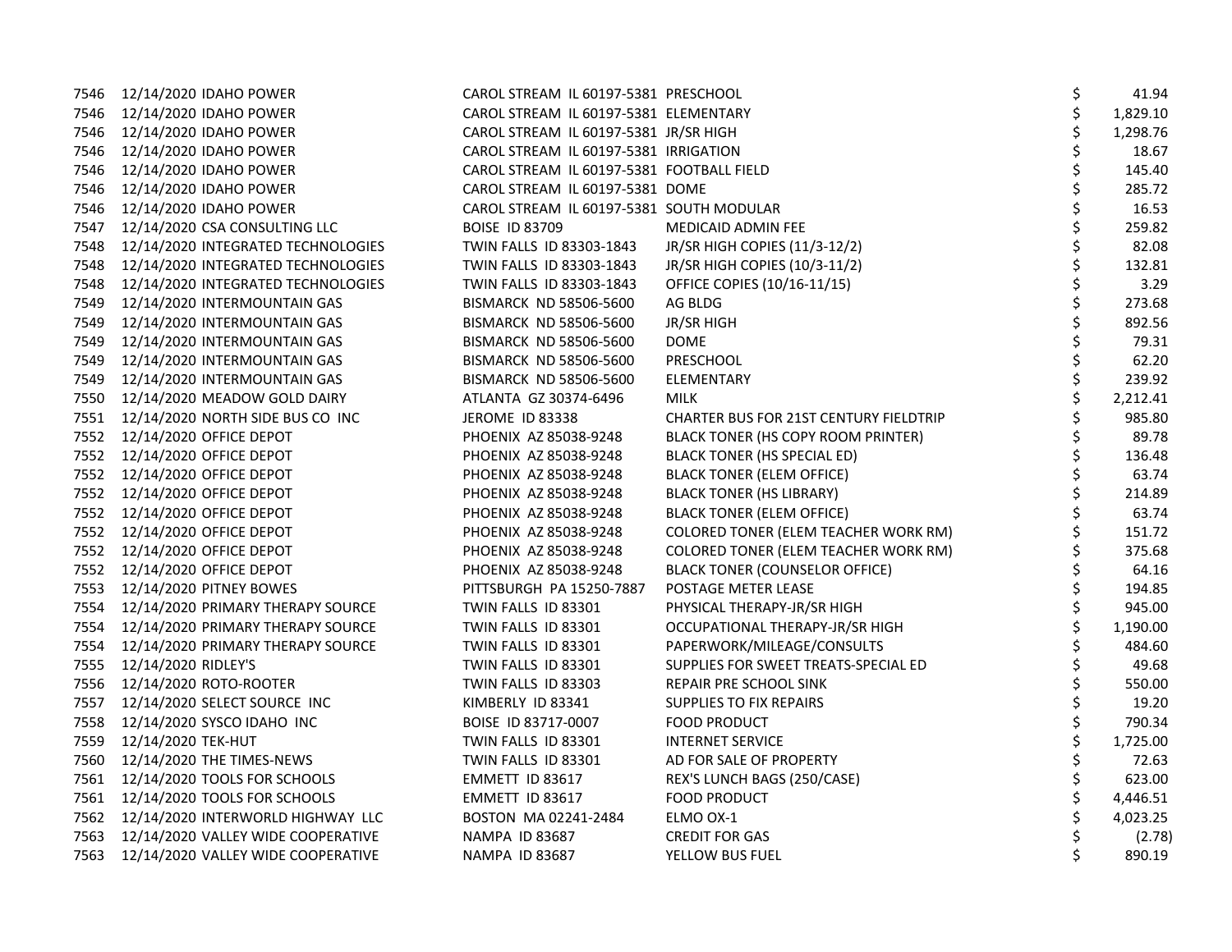| 7546 | 12/14/2020 IDAHO POWER                 | CAROL STREAM IL 60197-5381 PRESCHOOL      |                                               | \$ | 41.94    |
|------|----------------------------------------|-------------------------------------------|-----------------------------------------------|----|----------|
|      | 7546 12/14/2020 IDAHO POWER            | CAROL STREAM IL 60197-5381 ELEMENTARY     |                                               |    | 1,829.10 |
| 7546 | 12/14/2020 IDAHO POWER                 | CAROL STREAM IL 60197-5381 JR/SR HIGH     |                                               |    | 1,298.76 |
| 7546 | 12/14/2020 IDAHO POWER                 | CAROL STREAM IL 60197-5381 IRRIGATION     |                                               |    | 18.67    |
| 7546 | 12/14/2020 IDAHO POWER                 | CAROL STREAM IL 60197-5381 FOOTBALL FIELD |                                               |    | 145.40   |
| 7546 | 12/14/2020 IDAHO POWER                 | CAROL STREAM IL 60197-5381 DOME           |                                               | Ś  | 285.72   |
| 7546 | 12/14/2020 IDAHO POWER                 | CAROL STREAM IL 60197-5381 SOUTH MODULAR  |                                               |    | 16.53    |
| 7547 | 12/14/2020 CSA CONSULTING LLC          | <b>BOISE ID 83709</b>                     | MEDICAID ADMIN FEE                            |    | 259.82   |
| 7548 | 12/14/2020 INTEGRATED TECHNOLOGIES     | TWIN FALLS ID 83303-1843                  | JR/SR HIGH COPIES (11/3-12/2)                 |    | 82.08    |
| 7548 | 12/14/2020 INTEGRATED TECHNOLOGIES     | TWIN FALLS ID 83303-1843                  | JR/SR HIGH COPIES (10/3-11/2)                 |    | 132.81   |
| 7548 | 12/14/2020 INTEGRATED TECHNOLOGIES     | TWIN FALLS ID 83303-1843                  | OFFICE COPIES (10/16-11/15)                   |    | 3.29     |
| 7549 | 12/14/2020 INTERMOUNTAIN GAS           | BISMARCK ND 58506-5600                    | AG BLDG                                       |    | 273.68   |
| 7549 | 12/14/2020 INTERMOUNTAIN GAS           | <b>BISMARCK ND 58506-5600</b>             | JR/SR HIGH                                    |    | 892.56   |
| 7549 | 12/14/2020 INTERMOUNTAIN GAS           | <b>BISMARCK ND 58506-5600</b>             | <b>DOME</b>                                   |    | 79.31    |
| 7549 | 12/14/2020 INTERMOUNTAIN GAS           | <b>BISMARCK ND 58506-5600</b>             | PRESCHOOL                                     |    | 62.20    |
| 7549 | 12/14/2020 INTERMOUNTAIN GAS           | <b>BISMARCK ND 58506-5600</b>             | <b>ELEMENTARY</b>                             |    | 239.92   |
| 7550 | 12/14/2020 MEADOW GOLD DAIRY           | ATLANTA GZ 30374-6496                     | MILK                                          |    | 2,212.41 |
| 7551 | 12/14/2020 NORTH SIDE BUS CO INC       | JEROME ID 83338                           | <b>CHARTER BUS FOR 21ST CENTURY FIELDTRIP</b> |    | 985.80   |
|      | 7552 12/14/2020 OFFICE DEPOT           | PHOENIX AZ 85038-9248                     | BLACK TONER (HS COPY ROOM PRINTER)            |    | 89.78    |
| 7552 | 12/14/2020 OFFICE DEPOT                | PHOENIX AZ 85038-9248                     | BLACK TONER (HS SPECIAL ED)                   |    | 136.48   |
|      | 7552 12/14/2020 OFFICE DEPOT           | PHOENIX AZ 85038-9248                     | BLACK TONER (ELEM OFFICE)                     |    | 63.74    |
| 7552 | 12/14/2020 OFFICE DEPOT                | PHOENIX AZ 85038-9248                     | <b>BLACK TONER (HS LIBRARY)</b>               |    | 214.89   |
| 7552 | 12/14/2020 OFFICE DEPOT                | PHOENIX AZ 85038-9248                     | <b>BLACK TONER (ELEM OFFICE)</b>              |    | 63.74    |
| 7552 | 12/14/2020 OFFICE DEPOT                | PHOENIX AZ 85038-9248                     | COLORED TONER (ELEM TEACHER WORK RM)          |    | 151.72   |
|      | 7552 12/14/2020 OFFICE DEPOT           | PHOENIX AZ 85038-9248                     | COLORED TONER (ELEM TEACHER WORK RM)          |    | 375.68   |
| 7552 | 12/14/2020 OFFICE DEPOT                | PHOENIX AZ 85038-9248                     | BLACK TONER (COUNSELOR OFFICE)                |    | 64.16    |
| 7553 | 12/14/2020 PITNEY BOWES                | PITTSBURGH PA 15250-7887                  | POSTAGE METER LEASE                           |    | 194.85   |
| 7554 | 12/14/2020 PRIMARY THERAPY SOURCE      | TWIN FALLS ID 83301                       | PHYSICAL THERAPY-JR/SR HIGH                   |    | 945.00   |
| 7554 | 12/14/2020 PRIMARY THERAPY SOURCE      | TWIN FALLS ID 83301                       | OCCUPATIONAL THERAPY-JR/SR HIGH               |    | 1,190.00 |
| 7554 | 12/14/2020 PRIMARY THERAPY SOURCE      | TWIN FALLS ID 83301                       | PAPERWORK/MILEAGE/CONSULTS                    |    | 484.60   |
| 7555 | 12/14/2020 RIDLEY'S                    | TWIN FALLS ID 83301                       | SUPPLIES FOR SWEET TREATS-SPECIAL ED          |    | 49.68    |
| 7556 | 12/14/2020 ROTO-ROOTER                 | TWIN FALLS ID 83303                       | REPAIR PRE SCHOOL SINK                        |    | 550.00   |
| 7557 | 12/14/2020 SELECT SOURCE INC           | KIMBERLY ID 83341                         | SUPPLIES TO FIX REPAIRS                       |    | 19.20    |
| 7558 | 12/14/2020 SYSCO IDAHO INC             | BOISE ID 83717-0007                       | <b>FOOD PRODUCT</b>                           |    | 790.34   |
| 7559 | 12/14/2020 TEK-HUT                     | TWIN FALLS ID 83301                       | <b>INTERNET SERVICE</b>                       |    | 1,725.00 |
| 7560 | 12/14/2020 THE TIMES-NEWS              | TWIN FALLS ID 83301                       | AD FOR SALE OF PROPERTY                       |    | 72.63    |
|      | 7561 12/14/2020 TOOLS FOR SCHOOLS      | EMMETT ID 83617                           | REX'S LUNCH BAGS (250/CASE)                   |    | 623.00   |
| 7561 | 12/14/2020 TOOLS FOR SCHOOLS           | EMMETT ID 83617                           | <b>FOOD PRODUCT</b>                           |    | 4,446.51 |
|      | 7562 12/14/2020 INTERWORLD HIGHWAY LLC | BOSTON MA 02241-2484                      | ELMO OX-1                                     |    | 4,023.25 |
| 7563 | 12/14/2020 VALLEY WIDE COOPERATIVE     | <b>NAMPA ID 83687</b>                     | <b>CREDIT FOR GAS</b>                         |    | (2.78)   |
| 7563 | 12/14/2020 VALLEY WIDE COOPERATIVE     | <b>NAMPA ID 83687</b>                     | YELLOW BUS FUEL                               | Ś  | 890.19   |